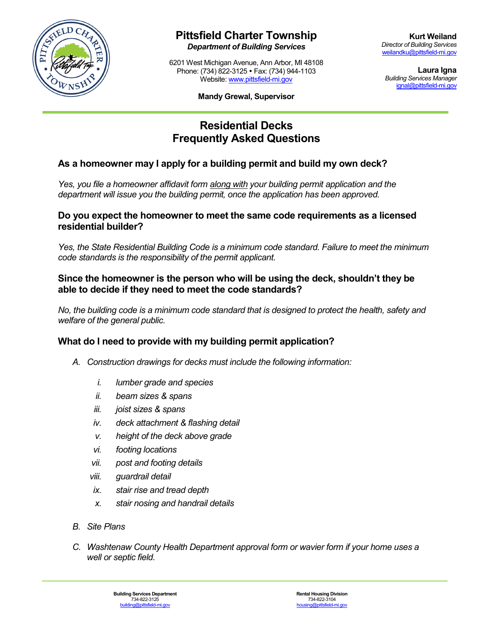

# **Pittsfield Charter Township**

*Department of Building Services*

6201 West Michigan Avenue, Ann Arbor, MI 48108 Phone: (734) 822-3125 Fax: (734) 944-1103 Website: [www.pittsfield-mi.gov](http://www.pittsfield-mi.gov/)

**Laura Igna** *Building Services Manager* [ignal@pittsfield-mi.gov](mailto:ignal@pittsfield-mi.gov)

#### **Mandy Grewal, Supervisor**

# **Residential Decks Frequently Asked Questions**

# **As a homeowner may I apply for a building permit and build my own deck?**

*Yes, you file a homeowner affidavit form along with your building permit application and the department will issue you the building permit, once the application has been approved.*

## **Do you expect the homeowner to meet the same code requirements as a licensed residential builder?**

*Yes, the State Residential Building Code is a minimum code standard. Failure to meet the minimum code standards is the responsibility of the permit applicant.*

# **Since the homeowner is the person who will be using the deck, shouldn't they be able to decide if they need to meet the code standards?**

*No, the building code is a minimum code standard that is designed to protect the health, safety and welfare of the general public.*

# **What do I need to provide with my building permit application?**

- *A. Construction drawings for decks must include the following information:*
	- *i. lumber grade and species*
	- *ii. beam sizes & spans*
	- *iii. joist sizes & spans*
	- *iv. deck attachment & flashing detail*
	- *v. height of the deck above grade*
	- *vi. footing locations*
	- *vii. post and footing details*
	- *viii. guardrail detail*
	- *ix. stair rise and tread depth*
	- *x. stair nosing and handrail details*
- *B. Site Plans*
- *C. Washtenaw County Health Department approval form or wavier form if your home uses a well or septic field.*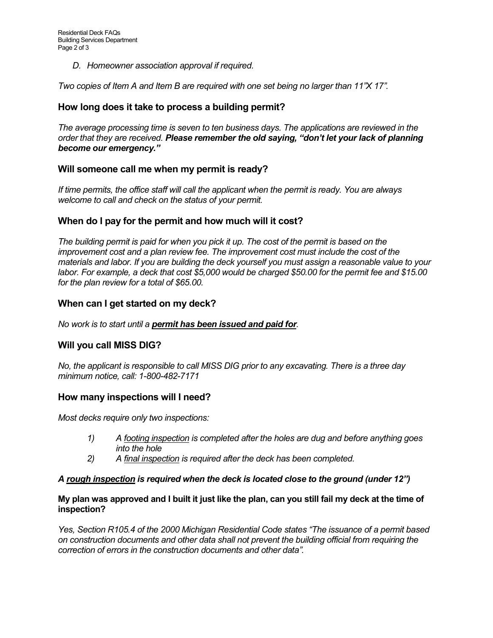*D. Homeowner association approval if required.*

*Two copies of Item A and Item B are required with one set being no larger than 11"X 17".*

## **How long does it take to process a building permit?**

*The average processing time is seven to ten business days. The applications are reviewed in the order that they are received. Please remember the old saying, "don't let your lack of planning become our emergency."*

## **Will someone call me when my permit is ready?**

*If time permits, the office staff will call the applicant when the permit is ready. You are always welcome to call and check on the status of your permit.*

## **When do I pay for the permit and how much will it cost?**

*The building permit is paid for when you pick it up. The cost of the permit is based on the improvement cost and a plan review fee. The improvement cost must include the cost of the materials and labor. If you are building the deck yourself you must assign a reasonable value to your labor. For example, a deck that cost \$5,000 would be charged \$50.00 for the permit fee and \$15.00 for the plan review for a total of \$65.00.*

## **When can I get started on my deck?**

*No work is to start until a permit has been issued and paid for.*

## **Will you call MISS DIG?**

*No, the applicant is responsible to call MISS DIG prior to any excavating. There is a three day minimum notice, call: 1-800-482-7171*

## **How many inspections will I need?**

*Most decks require only two inspections:*

- *1) A footing inspection is completed after the holes are dug and before anything goes into the hole*
- *2) A final inspection is required after the deck has been completed.*

#### *A rough inspection is required when the deck is located close to the ground (under 12")*

#### **My plan was approved and I built it just like the plan, can you still fail my deck at the time of inspection?**

*Yes, Section R105.4 of the 2000 Michigan Residential Code states "The issuance of a permit based on construction documents and other data shall not prevent the building official from requiring the correction of errors in the construction documents and other data".*